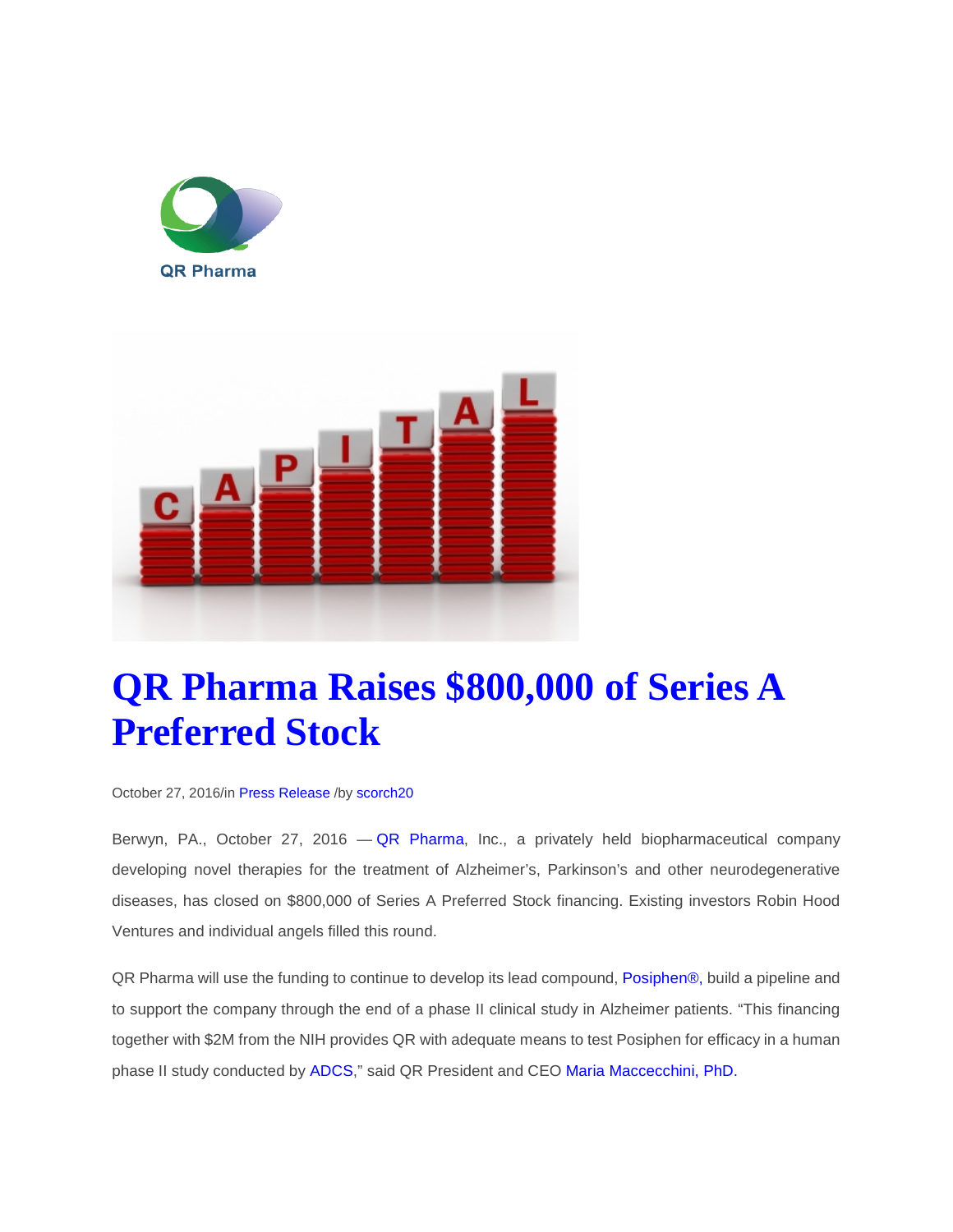



## **[QR Pharma Raises \\$800,000 of Series A](http://qrpharma.com/qr-pharma-raises-800000-of-series-a-preferred-stock/)  [Preferred Stock](http://qrpharma.com/qr-pharma-raises-800000-of-series-a-preferred-stock/)**

October 27, 2016/i[n Press Release](http://qrpharma.com/category/press-release/) /by [scorch20](http://qrpharma.com/author/scorch20/)

Berwyn, PA., October 27, 2016 - [QR Pharma,](http://www.qrpharma.com/) Inc., a privately held biopharmaceutical company developing novel therapies for the treatment of Alzheimer's, Parkinson's and other neurodegenerative diseases, has closed on \$800,000 of Series A Preferred Stock financing. Existing investors Robin Hood Ventures and individual angels filled this round.

QR Pharma will use the funding to continue to develop its lead compound, [Posiphen®,](http://qrpharma.com/innovation/) build a pipeline and to support the company through the end of a phase II clinical study in Alzheimer patients. "This financing together with \$2M from the NIH provides QR with adequate means to test Posiphen for efficacy in a human phase II study conducted by [ADCS,](http://adcs.org/)" said QR President and CEO [Maria Maccecchini, PhD.](http://qrpharma.com/about-us/)